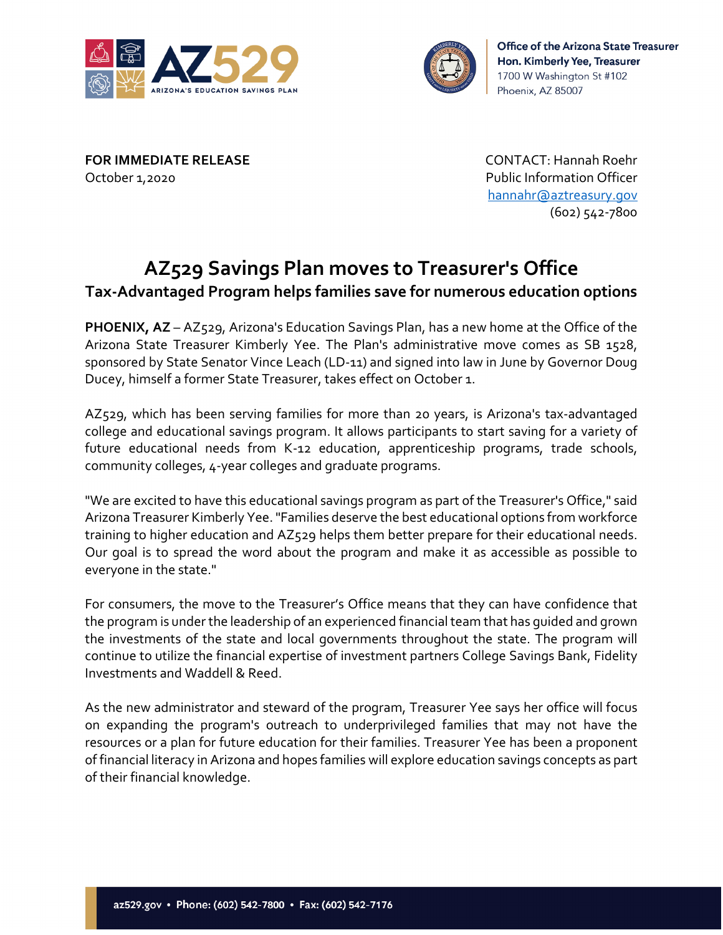



**FOR IMMEDIATE RELEASE** CONTACT: Hannah Roehr October 1,2020 Public Information Officer

[hannahr@aztreasury.gov](mailto:hannahr@aztreasury.gov) (602) 542-7800

## **AZ529 Savings Plan moves to Treasurer's Office Tax-Advantaged Program helps families save for numerous education options**

**PHOENIX, AZ** – AZ529, Arizona's Education Savings Plan, has a new home at the Office of the Arizona State Treasurer Kimberly Yee. The Plan's administrative move comes as SB 1528, sponsored by State Senator Vince Leach (LD-11) and signed into law in June by Governor Doug Ducey, himself a former State Treasurer, takes effect on October 1.

AZ529, which has been serving families for more than 20 years, is Arizona's tax-advantaged college and educational savings program. It allows participants to start saving for a variety of future educational needs from K-12 education, apprenticeship programs, trade schools, community colleges, 4-year colleges and graduate programs.

"We are excited to have this educational savings program as part of the Treasurer's Office," said Arizona Treasurer Kimberly Yee. "Families deserve the best educational options from workforce training to higher education and AZ529 helps them better prepare for their educational needs. Our goal is to spread the word about the program and make it as accessible as possible to everyone in the state."

For consumers, the move to the Treasurer's Office means that they can have confidence that the program is under the leadership of an experienced financial team that has guided and grown the investments of the state and local governments throughout the state. The program will continue to utilize the financial expertise of investment partners College Savings Bank, Fidelity Investments and Waddell & Reed.

As the new administrator and steward of the program, Treasurer Yee says her office will focus on expanding the program's outreach to underprivileged families that may not have the resources or a plan for future education for their families. Treasurer Yee has been a proponent of financial literacy in Arizona and hopes families will explore education savings concepts as part of their financial knowledge.